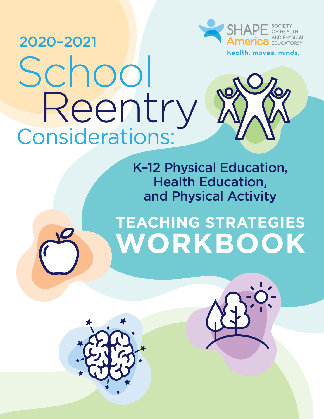



health. moves. minds.

### K–12 Physical Education, Health Education, and Physical Activity

# **TEACHING STRATEGIES WORKBOOK**



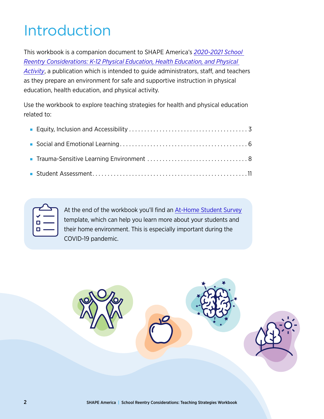## Introduction

This workbook is a companion document to SHAPE America's *[2020-2021 School](https://www.shapeamerica.org/advocacy/Reentry/K-12_School_Re-entry_Considerations.aspx)  [Reentry Considerations: K-12 Physical Education, Health Education, and Physical](https://www.shapeamerica.org/advocacy/Reentry/K-12_School_Re-entry_Considerations.aspx)  [Activity](https://www.shapeamerica.org/advocacy/Reentry/K-12_School_Re-entry_Considerations.aspx)*, a publication which is intended to guide administrators, staff, and teachers as they prepare an environment for safe and supportive instruction in physical education, health education, and physical activity.

Use the workbook to explore teaching strategies for health and physical education related to:

| Ó<br>ı |  |
|--------|--|
| г      |  |
|        |  |

At the end of the workbook you'll find an [At-Home Student Survey](#page-11-0) template, which can help you learn more about your students and their home environment. This is especially important during the COVID-19 pandemic.

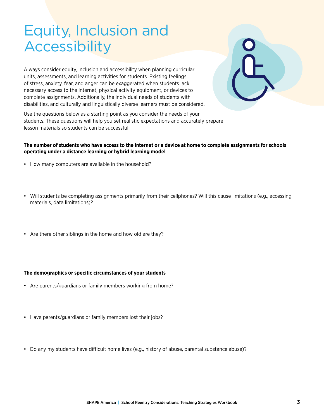### <span id="page-2-0"></span>Equity, Inclusion and Accessibility

Always consider equity, inclusion and accessibility when planning curricular units, assessments, and learning activities for students. Existing feelings of stress, anxiety, fear, and anger can be exaggerated when students lack necessary access to the internet, physical activity equipment, or devices to complete assignments. Additionally, the individual needs of students with disabilities, and culturally and linguistically diverse learners must be considered.

Use the questions below as a starting point as you consider the needs of your students. These questions will help you set realistic expectations and accurately prepare lesson materials so students can be successful.

#### **The number of students who have access to the internet or a device at home to complete assignments for schools operating under a distance learning or hybrid learning model**

- How many computers are available in the household?
- Will students be completing assignments primarily from their cellphones? Will this cause limitations (e.g., accessing materials, data limitations)?
- Are there other siblings in the home and how old are they?

#### **The demographics or specific circumstances of your students**

- Are parents/guardians or family members working from home?
- Have parents/guardians or family members lost their jobs?
- Do any my students have difficult home lives (e.g., history of abuse, parental substance abuse)?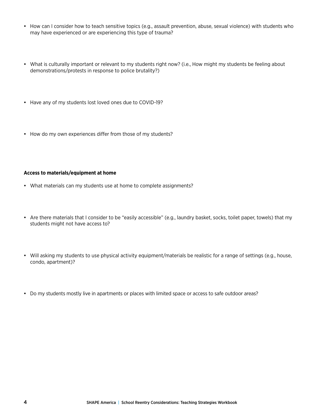- How can I consider how to teach sensitive topics (e.g., assault prevention, abuse, sexual violence) with students who may have experienced or are experiencing this type of trauma?
- What is culturally important or relevant to my students right now? (i.e., How might my students be feeling about demonstrations/protests in response to police brutality?)
- Have any of my students lost loved ones due to COVID-19?
- How do my own experiences differ from those of my students?

#### **Access to materials/equipment at home**

- What materials can my students use at home to complete assignments?
- Are there materials that I consider to be "easily accessible" (e.g., laundry basket, socks, toilet paper, towels) that my students might not have access to?
- Will asking my students to use physical activity equipment/materials be realistic for a range of settings (e.g., house, condo, apartment)?
- Do my students mostly live in apartments or places with limited space or access to safe outdoor areas?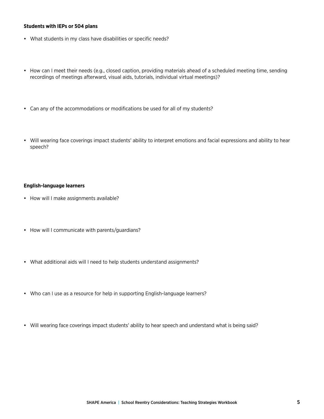#### **Students with IEPs or 504 plans**

- What students in my class have disabilities or specific needs?
- How can I meet their needs (e.g., closed caption, providing materials ahead of a scheduled meeting time, sending recordings of meetings afterward, visual aids, tutorials, individual virtual meetings)?
- Can any of the accommodations or modifications be used for all of my students?
- Will wearing face coverings impact students' ability to interpret emotions and facial expressions and ability to hear speech?

#### **English-language learners**

- How will I make assignments available?
- How will I communicate with parents/guardians?
- What additional aids will I need to help students understand assignments?
- Who can I use as a resource for help in supporting English-language learners?
- Will wearing face coverings impact students' ability to hear speech and understand what is being said?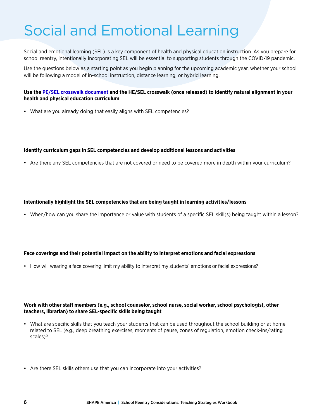## <span id="page-5-0"></span>Social and Emotional Learning

Social and emotional learning (SEL) is a key component of health and physical education instruction. As you prepare for school reentry, intentionally incorporating SEL will be essential to supporting students through the COVID-19 pandemic.

Use the questions below as a starting point as you begin planning for the upcoming academic year, whether your school will be following a model of in-school instruction, distance learning, or hybrid learning.

#### **Use the [PE/SEL crosswalk document](https://www.shapeamerica.org/standards/guidelines/sel-crosswalk.aspx) and the HE/SEL crosswalk (once released) to identify natural alignment in your health and physical education curriculum**

• What are you already doing that easily aligns with SEL competencies?

#### **Identify curriculum gaps in SEL competencies and develop additional lessons and activities**

• Are there any SEL competencies that are not covered or need to be covered more in depth within your curriculum?

#### **Intentionally highlight the SEL competencies that are being taught in learning activities/lessons**

• When/how can you share the importance or value with students of a specific SEL skill(s) being taught within a lesson?

#### **Face coverings and their potential impact on the ability to interpret emotions and facial expressions**

• How will wearing a face covering limit my ability to interpret my students' emotions or facial expressions?

#### **Work with other staff members (e.g., school counselor, school nurse, social worker, school psychologist, other teachers, librarian) to share SEL-specific skills being taught**

- What are specific skills that you teach your students that can be used throughout the school building or at home related to SEL (e.g., deep breathing exercises, moments of pause, zones of regulation, emotion check-ins/rating scales)?
- Are there SEL skills others use that you can incorporate into your activities?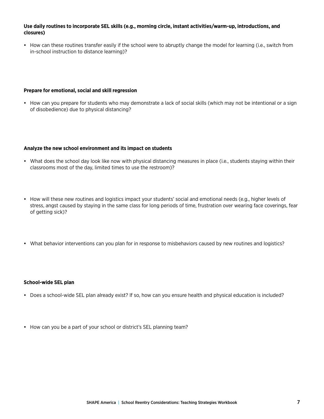#### **Use daily routines to incorporate SEL skills (e.g., morning circle, instant activities/warm-up, introductions, and closures)**

• How can these routines transfer easily if the school were to abruptly change the model for learning (i.e., switch from in-school instruction to distance learning)?

#### **Prepare for emotional, social and skill regression**

• How can you prepare for students who may demonstrate a lack of social skills (which may not be intentional or a sign of disobedience) due to physical distancing?

#### **Analyze the new school environment and its impact on students**

- What does the school day look like now with physical distancing measures in place (i.e., students staying within their classrooms most of the day, limited times to use the restroom)?
- How will these new routines and logistics impact your students' social and emotional needs (e.g., higher levels of stress, angst caused by staying in the same class for long periods of time, frustration over wearing face coverings, fear of getting sick)?
- What behavior interventions can you plan for in response to misbehaviors caused by new routines and logistics?

#### **School-wide SEL plan**

- Does a school-wide SEL plan already exist? If so, how can you ensure health and physical education is included?
- How can you be a part of your school or district's SEL planning team?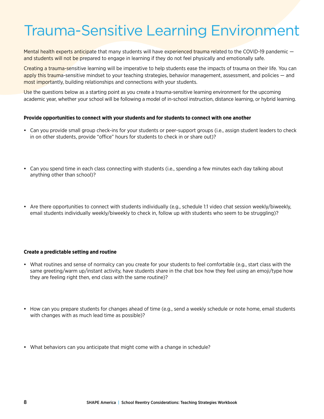### <span id="page-7-0"></span>Trauma-Sensitive Learning Environment

Mental health experts anticipate that many students will have experienced trauma related to the COVID-19 pandemic and students will not be prepared to engage in learning if they do not feel physically and emotionally safe.

Creating a trauma-sensitive learning will be imperative to help students ease the impacts of trauma on their life. You can apply this trauma-sensitive mindset to your teaching strategies, behavior management, assessment, and policies — and most importantly, building relationships and connections with your students.

Use the questions below as a starting point as you create a trauma-sensitive learning environment for the upcoming academic year, whether your school will be following a model of in-school instruction, distance learning, or hybrid learning.

#### **Provide opportunities to connect with your students and for students to connect with one another**

- Can you provide small group check-ins for your students or peer-support groups (i.e., assign student leaders to check in on other students, provide "office" hours for students to check in or share out)?
- Can you spend time in each class connecting with students (i.e., spending a few minutes each day talking about anything other than school)?
- Are there opportunities to connect with students individually (e.g., schedule 1:1 video chat session weekly/biweekly, email students individually weekly/biweekly to check in, follow up with students who seem to be struggling)?

#### **Create a predictable setting and routine**

- What routines and sense of normalcy can you create for your students to feel comfortable (e.g., start class with the same greeting/warm up/instant activity, have students share in the chat box how they feel using an emoji/type how they are feeling right then, end class with the same routine)?
- How can you prepare students for changes ahead of time (e.g., send a weekly schedule or note home, email students with changes with as much lead time as possible)?
- What behaviors can you anticipate that might come with a change in schedule?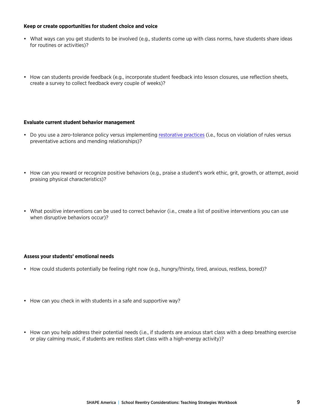#### **Keep or create opportunities for student choice and voice**

- What ways can you get students to be involved (e.g., students come up with class norms, have students share ideas for routines or activities)?
- How can students provide feedback (e.g., incorporate student feedback into lesson closures, use reflection sheets, create a survey to collect feedback every couple of weeks)?

#### **Evaluate current student behavior management**

- Do you use a zero-tolerance policy versus implementing [restorative practices](http://www.ascd.org/publications/books/116005/chapters/Punitive-or-Restorative@-The-Choice-Is-Yours.aspx#:~:text=Restorative%20practices%20represent%20a%20positive,acts%20of%20empathy%20and%20forgiveness) (i.e., focus on violation of rules versus preventative actions and mending relationships)?
- How can you reward or recognize positive behaviors (e.g., praise a student's work ethic, grit, growth, or attempt, avoid praising physical characteristics)?
- What positive interventions can be used to correct behavior (i.e., create a list of positive interventions you can use when disruptive behaviors occur)?

#### **Assess your students' emotional needs**

- How could students potentially be feeling right now (e.g., hungry/thirsty, tired, anxious, restless, bored)?
- How can you check in with students in a safe and supportive way?
- How can you help address their potential needs (i.e., if students are anxious start class with a deep breathing exercise or play calming music, if students are restless start class with a high-energy activity)?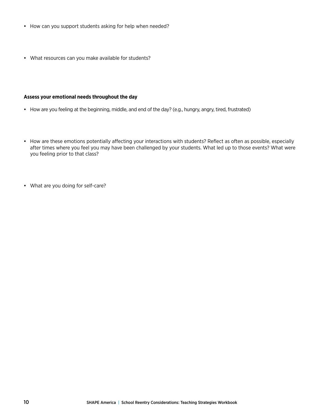- How can you support students asking for help when needed?
- What resources can you make available for students?

#### **Assess your emotional needs throughout the day**

- How are you feeling at the beginning, middle, and end of the day? (e.g., hungry, angry, tired, frustrated)
- How are these emotions potentially affecting your interactions with students? Reflect as often as possible, especially after times where you feel you may have been challenged by your students. What led up to those events? What were you feeling prior to that class?
- What are you doing for self-care?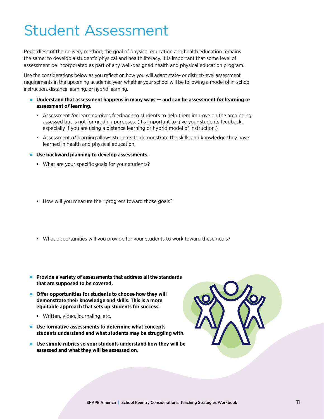## <span id="page-10-0"></span>Student Assessment

Regardless of the delivery method, the goal of physical education and health education remains the same: to develop a student's physical and health literacy. It is important that some level of assessment be incorporated as part of any well-designed health and physical education program.

Use the considerations below as you reflect on how you will adapt state- or district-level assessment requirements in the upcoming academic year, whether your school will be following a model of in-school instruction, distance learning, or hybrid learning.

- Understand that assessment happens in many ways and can be assessment *for* learning or **assessment** *of* **learning.** 
	- Assessment *for* learning gives feedback to students to help them improve on the area being assessed but is not for grading purposes. (It's important to give your students feedback, especially if you are using a distance learning or hybrid model of instruction.)
	- Assessment *of* learning allows students to demonstrate the skills and knowledge they have learned in health and physical education.
- Use backward planning to develop assessments.
	- What are your specific goals for your students?
	- How will you measure their progress toward those goals?
	- What opportunities will you provide for your students to work toward these goals?
- **Provide a variety of assessments that address all the standards that are supposed to be covered.**
- **Offer opportunities for students to choose how they will demonstrate their knowledge and skills. This is a more equitable approach that sets up students for success.**
	- Written, video, journaling, etc.
- Use formative assessments to determine what concepts **students understand and what students may be struggling with.**
- **Use simple rubrics so your students understand how they will be assessed and what they will be assessed on.**

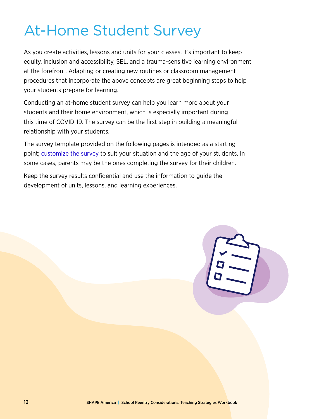## <span id="page-11-0"></span>At-Home Student Survey

As you create activities, lessons and units for your classes, it's important to keep equity, inclusion and accessibility, SEL, and a trauma-sensitive learning environment at the forefront. Adapting or creating new routines or classroom management procedures that incorporate the above concepts are great beginning steps to help your students prepare for learning.

Conducting an at-home student survey can help you learn more about your students and their home environment, which is especially important during this time of COVID-19. The survey can be the first step in building a meaningful relationship with your students.

The survey template provided on the following pages is intended as a starting point; [customize the survey](https://www.shapeamerica.org/advocacy/Reentry/K-12_School_Re-entry_Considerations.aspx) to suit your situation and the age of your students. In some cases, parents may be the ones completing the survey for their children.

Keep the survey results confidential and use the information to guide the development of units, lessons, and learning experiences.

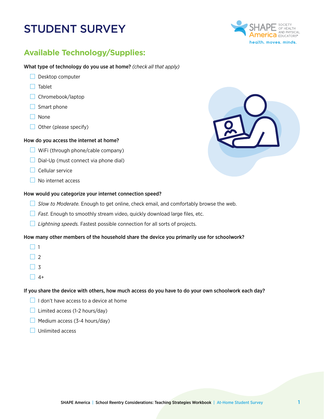### STUDENT SURVEY

### **Available Technology/Supplies:**

What type of technology do you use at home? *(check all that apply)*

- $\Box$  Desktop computer
- $\Box$  Tablet
- $\Box$  Chromebook/laptop
- $\Box$  Smart phone
- $\Box$  None
- $\Box$  Other (please specify)

#### How do you access the internet at home?

- $\Box$  WiFi (through phone/cable company)
- $\Box$  Dial-Up (must connect via phone dial)
- $\Box$  Cellular service
- No internet access

#### How would you categorize your internet connection speed?

- *Slow to Moderate.* Enough to get online, check email, and comfortably browse the web.
- **Fast.** Enough to smoothly stream video, quickly download large files, etc.
- *Lightning speeds.* Fastest possible connection for all sorts of projects.

#### How many other members of the household share the device you primarily use for schoolwork?

- $\Box$  1
- $\Box$  2
- $\Box$  3
- $\Box$  4+

#### If you share the device with others, how much access do you have to do your own schoolwork each day?

- $\Box$  I don't have access to a device at home
- $\Box$  Limited access (1-2 hours/day)
- $\Box$  Medium access (3-4 hours/day)
- $\Box$  Unlimited access



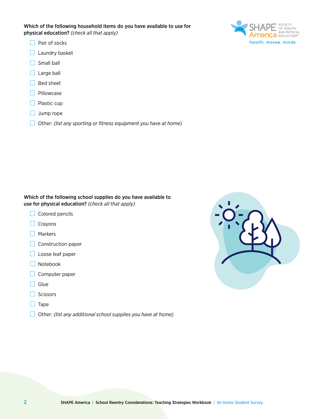- $\Box$  Pair of socks
- $\Box$  Laundry basket
- $\Box$  Small ball
- $\Box$  Large ball
- $\Box$  Bed sheet
- $\Box$  Pillowcase
- $\Box$  Plastic cup
- $\Box$  Jump rope
- Other: *(list any sporting or fitness equipment you have at home)*

Which of the following school supplies do you have available to use for physical education? *(check all that apply)*

- $\Box$  Colored pencils
- $\Box$  Crayons
- □ Markers
- $\Box$  Construction paper
- $\Box$  Loose leaf paper
- Notebook
- $\Box$  Computer paper
- $\Box$  Glue
- $\Box$  Scissors
- $\Box$  Tape
- Other: *(list any additional school supplies you have at home)*



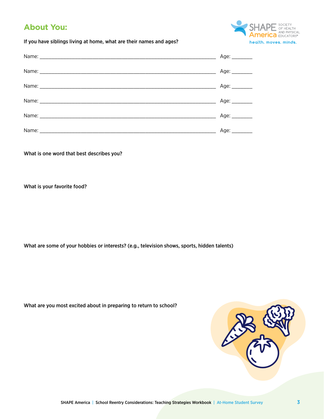### **About You:**

OF HEALTH<br>
AND PHYSICAL<br>
CO EDUCATORS® health. moves. minds.

If you have siblings living at home, what are their names and ages?

| Age: ________ |
|---------------|
| Age: $\_\_$   |
| Age: ________ |
| Age: ________ |
| Age: $\_\_$   |
| Age: ________ |

What is one word that best describes you?

What is your favorite food?

What are some of your hobbies or interests? (e.g., television shows, sports, hidden talents)

| What are you most excited about in preparing to return to school? |  |  |  |  |
|-------------------------------------------------------------------|--|--|--|--|
|-------------------------------------------------------------------|--|--|--|--|

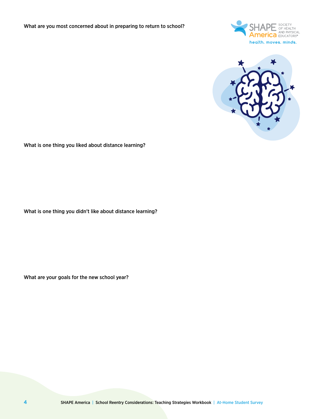



What is one thing you liked about distance learning?

What is one thing you didn't like about distance learning?

What are your goals for the new school year?